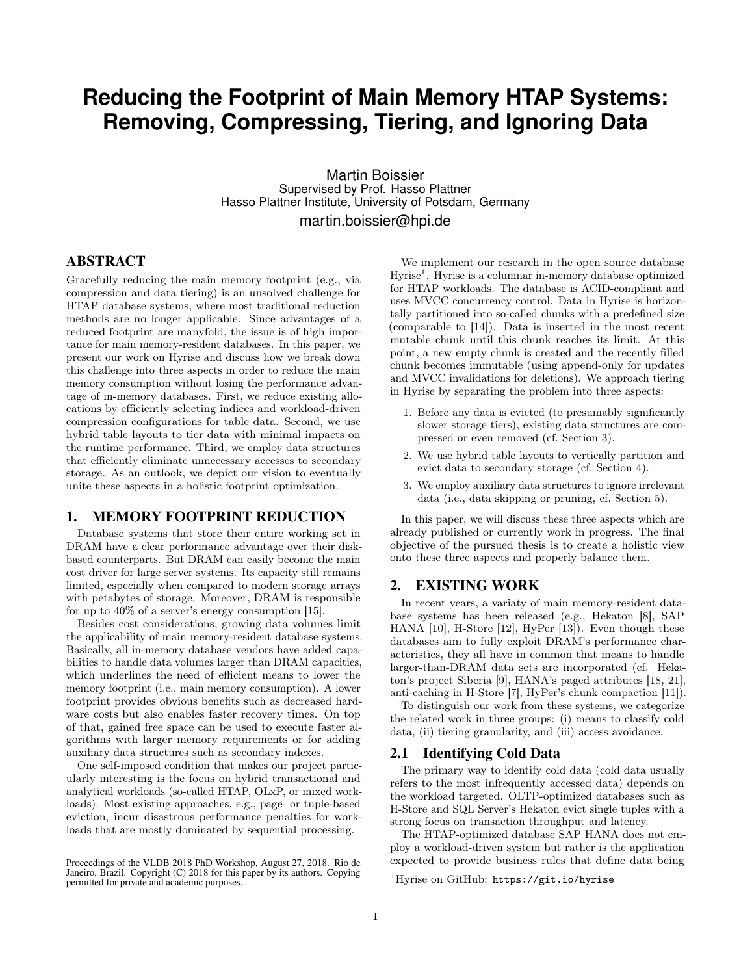# **Reducing the Footprint of Main Memory HTAP Systems: Removing, Compressing, Tiering, and Ignoring Data**

Martin Boissier Supervised by Prof. Hasso Plattner Hasso Plattner Institute, University of Potsdam, Germany

martin.boissier@hpi.de

# ABSTRACT

Gracefully reducing the main memory footprint (e.g., via compression and data tiering) is an unsolved challenge for HTAP database systems, where most traditional reduction methods are no longer applicable. Since advantages of a reduced footprint are manyfold, the issue is of high importance for main memory-resident databases. In this paper, we present our work on Hyrise and discuss how we break down this challenge into three aspects in order to reduce the main memory consumption without losing the performance advantage of in-memory databases. First, we reduce existing allocations by efficiently selecting indices and workload-driven compression configurations for table data. Second, we use hybrid table layouts to tier data with minimal impacts on the runtime performance. Third, we employ data structures that efficiently eliminate unnecessary accesses to secondary storage. As an outlook, we depict our vision to eventually unite these aspects in a holistic footprint optimization.

#### 1. MEMORY FOOTPRINT REDUCTION

Database systems that store their entire working set in DRAM have a clear performance advantage over their diskbased counterparts. But DRAM can easily become the main cost driver for large server systems. Its capacity still remains limited, especially when compared to modern storage arrays with petabytes of storage. Moreover, DRAM is responsible for up to 40% of a server's energy consumption [15].

Besides cost considerations, growing data volumes limit the applicability of main memory-resident database systems. Basically, all in-memory database vendors have added capabilities to handle data volumes larger than DRAM capacities, which underlines the need of efficient means to lower the memory footprint (i.e., main memory consumption). A lower footprint provides obvious benefits such as decreased hardware costs but also enables faster recovery times. On top of that, gained free space can be used to execute faster algorithms with larger memory requirements or for adding auxiliary data structures such as secondary indexes.

One self-imposed condition that makes our project particularly interesting is the focus on hybrid transactional and analytical workloads (so-called HTAP, OLxP, or mixed workloads). Most existing approaches, e.g., page- or tuple-based eviction, incur disastrous performance penalties for workloads that are mostly dominated by sequential processing.

We implement our research in the open source database Hyrise<sup>1</sup>. Hyrise is a columnar in-memory database optimized for HTAP workloads. The database is ACID-compliant and uses MVCC concurrency control. Data in Hyrise is horizontally partitioned into so-called chunks with a predefined size (comparable to [14]). Data is inserted in the most recent mutable chunk until this chunk reaches its limit. At this point, a new empty chunk is created and the recently filled chunk becomes immutable (using append-only for updates and MVCC invalidations for deletions). We approach tiering in Hyrise by separating the problem into three aspects:

- 1. Before any data is evicted (to presumably significantly slower storage tiers), existing data structures are compressed or even removed (cf. Section 3).
- 2. We use hybrid table layouts to vertically partition and evict data to secondary storage (cf. Section 4).
- 3. We employ auxiliary data structures to ignore irrelevant data (i.e., data skipping or pruning, cf. Section 5).

In this paper, we will discuss these three aspects which are already published or currently work in progress. The final objective of the pursued thesis is to create a holistic view onto these three aspects and properly balance them.

## 2. EXISTING WORK

In recent years, a variaty of main memory-resident database systems has been released (e.g., Hekaton [8], SAP HANA [10], H-Store [12], HyPer [13]). Even though these databases aim to fully exploit DRAM's performance characteristics, they all have in common that means to handle larger-than-DRAM data sets are incorporated (cf. Hekaton's project Siberia [9], HANA's paged attributes [18, 21], anti-caching in H-Store [7], HyPer's chunk compaction [11]).

To distinguish our work from these systems, we categorize the related work in three groups: (i) means to classify cold data, (ii) tiering granularity, and (iii) access avoidance.

#### 2.1 Identifying Cold Data

The primary way to identify cold data (cold data usually refers to the most infrequently accessed data) depends on the workload targeted. OLTP-optimized databases such as H-Store and SQL Server's Hekaton evict single tuples with a strong focus on transaction throughput and latency.

The HTAP-optimized database SAP HANA does not employ a workload-driven system but rather is the application expected to provide business rules that define data being

Proceedings of the VLDB 2018 PhD Workshop, August 27, 2018. Rio de Janeiro, Brazil. Copyright (C) 2018 for this paper by its authors. Copying permitted for private and academic purposes.

<sup>&</sup>lt;sup>1</sup>Hyrise on GitHub: https://git.io/hyrise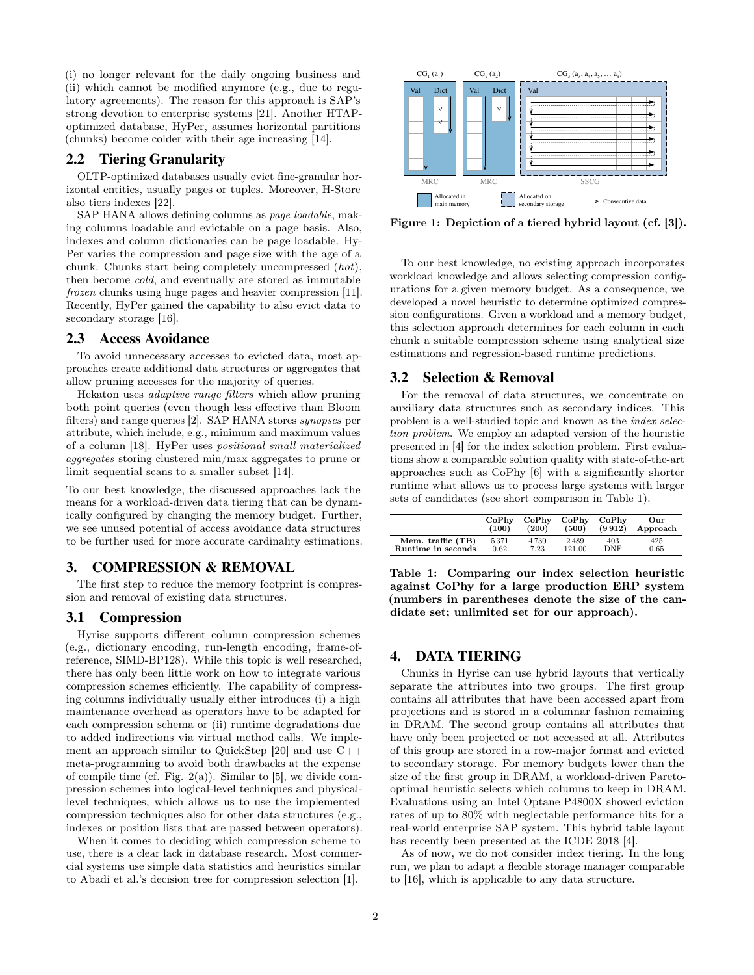(i) no longer relevant for the daily ongoing business and (ii) which cannot be modified anymore (e.g., due to regulatory agreements). The reason for this approach is SAP's strong devotion to enterprise systems [21]. Another HTAPoptimized database, HyPer, assumes horizontal partitions (chunks) become colder with their age increasing [14].

#### 2.2 Tiering Granularity

OLTP-optimized databases usually evict fine-granular horizontal entities, usually pages or tuples. Moreover, H-Store also tiers indexes [22].

SAP HANA allows defining columns as page loadable, making columns loadable and evictable on a page basis. Also, indexes and column dictionaries can be page loadable. Hy-Per varies the compression and page size with the age of a chunk. Chunks start being completely uncompressed (hot), then become cold, and eventually are stored as immutable frozen chunks using huge pages and heavier compression [11]. Recently, HyPer gained the capability to also evict data to secondary storage [16].

#### 2.3 Access Avoidance

To avoid unnecessary accesses to evicted data, most approaches create additional data structures or aggregates that allow pruning accesses for the majority of queries.

Hekaton uses adaptive range filters which allow pruning both point queries (even though less effective than Bloom filters) and range queries [2]. SAP HANA stores synopses per attribute, which include, e.g., minimum and maximum values of a column [18]. HyPer uses positional small materialized aggregates storing clustered min/max aggregates to prune or limit sequential scans to a smaller subset [14].

To our best knowledge, the discussed approaches lack the means for a workload-driven data tiering that can be dynamically configured by changing the memory budget. Further, we see unused potential of access avoidance data structures to be further used for more accurate cardinality estimations.

## 3. COMPRESSION & REMOVAL

The first step to reduce the memory footprint is compression and removal of existing data structures.

#### 3.1 Compression

Hyrise supports different column compression schemes (e.g., dictionary encoding, run-length encoding, frame-ofreference, SIMD-BP128). While this topic is well researched, there has only been little work on how to integrate various compression schemes efficiently. The capability of compressing columns individually usually either introduces (i) a high maintenance overhead as operators have to be adapted for each compression schema or (ii) runtime degradations due to added indirections via virtual method calls. We implement an approach similar to QuickStep [20] and use C++ meta-programming to avoid both drawbacks at the expense of compile time (cf. Fig.  $2(a)$ ). Similar to [5], we divide compression schemes into logical-level techniques and physicallevel techniques, which allows us to use the implemented compression techniques also for other data structures (e.g., indexes or position lists that are passed between operators).

When it comes to deciding which compression scheme to use, there is a clear lack in database research. Most commercial systems use simple data statistics and heuristics similar to Abadi et al.'s decision tree for compression selection [1].



Figure 1: Depiction of a tiered hybrid layout (cf. [3]).

To our best knowledge, no existing approach incorporates workload knowledge and allows selecting compression configurations for a given memory budget. As a consequence, we developed a novel heuristic to determine optimized compression configurations. Given a workload and a memory budget, this selection approach determines for each column in each chunk a suitable compression scheme using analytical size estimations and regression-based runtime predictions.

#### 3.2 Selection & Removal

For the removal of data structures, we concentrate on auxiliary data structures such as secondary indices. This problem is a well-studied topic and known as the index selection problem. We employ an adapted version of the heuristic presented in [4] for the index selection problem. First evaluations show a comparable solution quality with state-of-the-art approaches such as CoPhy [6] with a significantly shorter runtime what allows us to process large systems with larger sets of candidates (see short comparison in Table 1).

|                    | CoPhv | CoPhv | CoPhv  | CoPhv  | Our      |
|--------------------|-------|-------|--------|--------|----------|
|                    | (100) | (200) | (500)  | (9912) | Approach |
| Mem. traffic (TB)  | 5371  | 4730  | 2489   | 403    | 425      |
| Runtime in seconds | 0.62  | 7.23  | 121.00 | DNF    | 0.65     |

Table 1: Comparing our index selection heuristic against CoPhy for a large production ERP system (numbers in parentheses denote the size of the candidate set; unlimited set for our approach).

#### 4. DATA TIERING

Chunks in Hyrise can use hybrid layouts that vertically separate the attributes into two groups. The first group contains all attributes that have been accessed apart from projections and is stored in a columnar fashion remaining in DRAM. The second group contains all attributes that have only been projected or not accessed at all. Attributes of this group are stored in a row-major format and evicted to secondary storage. For memory budgets lower than the size of the first group in DRAM, a workload-driven Paretooptimal heuristic selects which columns to keep in DRAM. Evaluations using an Intel Optane P4800X showed eviction rates of up to 80% with neglectable performance hits for a real-world enterprise SAP system. This hybrid table layout has recently been presented at the ICDE 2018 [4].

As of now, we do not consider index tiering. In the long run, we plan to adapt a flexible storage manager comparable to [16], which is applicable to any data structure.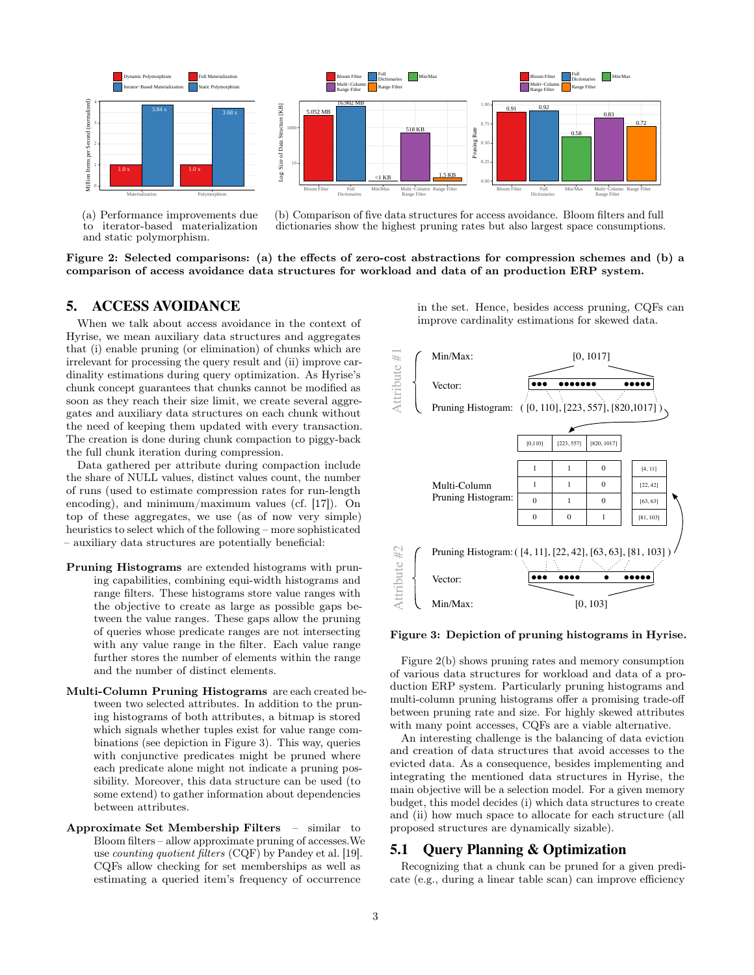

(a) Performance improvements due to iterator-based materialization and static polymorphism.

(b) Comparison of five data structures for access avoidance. Bloom filters and full dictionaries show the highest pruning rates but also largest space consumptions.

Figure 2: Selected comparisons: (a) the effects of zero-cost abstractions for compression schemes and (b) a comparison of access avoidance data structures for workload and data of an production ERP system.

# 5. ACCESS AVOIDANCE

When we talk about access avoidance in the context of Hyrise, we mean auxiliary data structures and aggregates that (i) enable pruning (or elimination) of chunks which are irrelevant for processing the query result and (ii) improve cardinality estimations during query optimization. As Hyrise's chunk concept guarantees that chunks cannot be modified as soon as they reach their size limit, we create several aggregates and auxiliary data structures on each chunk without the need of keeping them updated with every transaction. The creation is done during chunk compaction to piggy-back the full chunk iteration during compression.

Data gathered per attribute during compaction include the share of NULL values, distinct values count, the number of runs (used to estimate compression rates for run-length encoding), and minimum/maximum values (cf. [17]). On top of these aggregates, we use (as of now very simple) heuristics to select which of the following – more sophisticated – auxiliary data structures are potentially beneficial:

- Pruning Histograms are extended histograms with pruning capabilities, combining equi-width histograms and range filters. These histograms store value ranges with the objective to create as large as possible gaps between the value ranges. These gaps allow the pruning of queries whose predicate ranges are not intersecting with any value range in the filter. Each value range further stores the number of elements within the range and the number of distinct elements.
- Multi-Column Pruning Histograms are each created between two selected attributes. In addition to the pruning histograms of both attributes, a bitmap is stored which signals whether tuples exist for value range combinations (see depiction in Figure 3). This way, queries with conjunctive predicates might be pruned where each predicate alone might not indicate a pruning possibility. Moreover, this data structure can be used (to some extend) to gather information about dependencies between attributes.
- Approximate Set Membership Filters similar to Bloom filters – allow approximate pruning of accesses.We use counting quotient filters (CQF) by Pandey et al. [19]. CQFs allow checking for set memberships as well as estimating a queried item's frequency of occurrence

in the set. Hence, besides access pruning, CQFs can improve cardinality estimations for skewed data.



Figure 3: Depiction of pruning histograms in Hyrise.

Figure 2(b) shows pruning rates and memory consumption of various data structures for workload and data of a production ERP system. Particularly pruning histograms and multi-column pruning histograms offer a promising trade-off between pruning rate and size. For highly skewed attributes with many point accesses, CQFs are a viable alternative.

An interesting challenge is the balancing of data eviction and creation of data structures that avoid accesses to the evicted data. As a consequence, besides implementing and integrating the mentioned data structures in Hyrise, the main objective will be a selection model. For a given memory budget, this model decides (i) which data structures to create and (ii) how much space to allocate for each structure (all proposed structures are dynamically sizable).

#### 5.1 Query Planning & Optimization

Recognizing that a chunk can be pruned for a given predicate (e.g., during a linear table scan) can improve efficiency